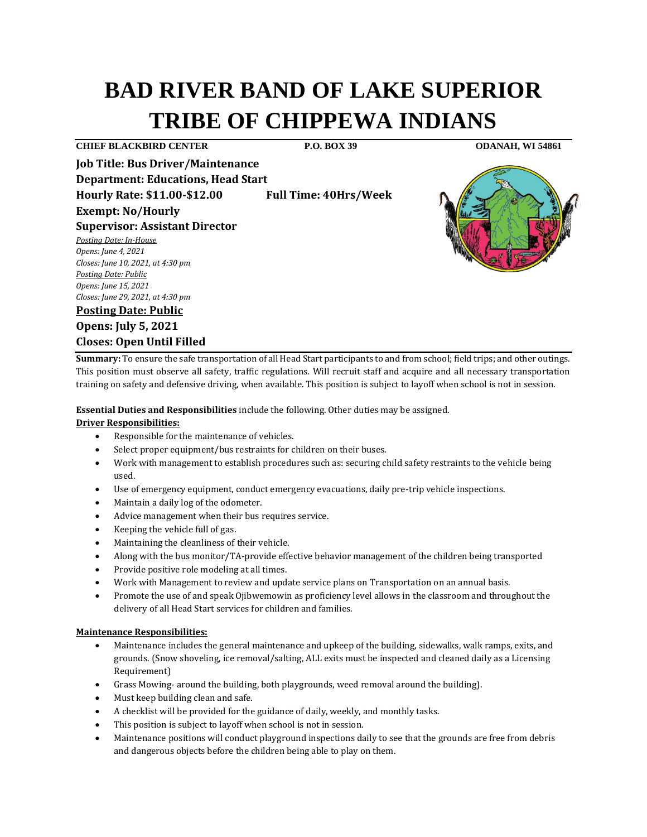# **BAD RIVER BAND OF LAKE SUPERIOR TRIBE OF CHIPPEWA INDIANS**

**CHIEF BLACKBIRD CENTER P.O. BOX 39 ODANAH, WI 54861**

**Job Title: Bus Driver/Maintenance Department: Educations, Head Start Hourly Rate: \$11.00-\$12.00 Full Time: 40Hrs/Week**

**Exempt: No/Hourly**

**Supervisor: Assistant Director**  *Posting Date: In-House*

*Opens: June 4, 2021 Closes: June 10, 2021, at 4:30 pm Posting Date: Public Opens: June 15, 2021 Closes: June 29, 2021, at 4:30 pm*

**Posting Date: Public Opens: July 5, 2021 Closes: Open Until Filled** 

**Summary:** To ensure the safe transportation of all Head Start participants to and from school; field trips; and other outings. This position must observe all safety, traffic regulations. Will recruit staff and acquire and all necessary transportation training on safety and defensive driving, when available. This position is subject to layoff when school is not in session.

**Essential Duties and Responsibilities** include the following. Other duties may be assigned.

# **Driver Responsibilities:**

- Responsible for the maintenance of vehicles.
- Select proper equipment/bus restraints for children on their buses.
- Work with management to establish procedures such as: securing child safety restraints to the vehicle being used.
- Use of emergency equipment, conduct emergency evacuations, daily pre-trip vehicle inspections.
- Maintain a daily log of the odometer.
- Advice management when their bus requires service.
- Keeping the vehicle full of gas.
- Maintaining the cleanliness of their vehicle.
- Along with the bus monitor/TA-provide effective behavior management of the children being transported
- Provide positive role modeling at all times.
- Work with Management to review and update service plans on Transportation on an annual basis.
- Promote the use of and speak Ojibwemowin as proficiency level allows in the classroom and throughout the delivery of all Head Start services for children and families.

## **Maintenance Responsibilities:**

- Maintenance includes the general maintenance and upkeep of the building, sidewalks, walk ramps, exits, and grounds. (Snow shoveling, ice removal/salting, ALL exits must be inspected and cleaned daily as a Licensing Requirement)
- Grass Mowing- around the building, both playgrounds, weed removal around the building).
- Must keep building clean and safe.
- A checklist will be provided for the guidance of daily, weekly, and monthly tasks.
- This position is subject to layoff when school is not in session.
- Maintenance positions will conduct playground inspections daily to see that the grounds are free from debris and dangerous objects before the children being able to play on them.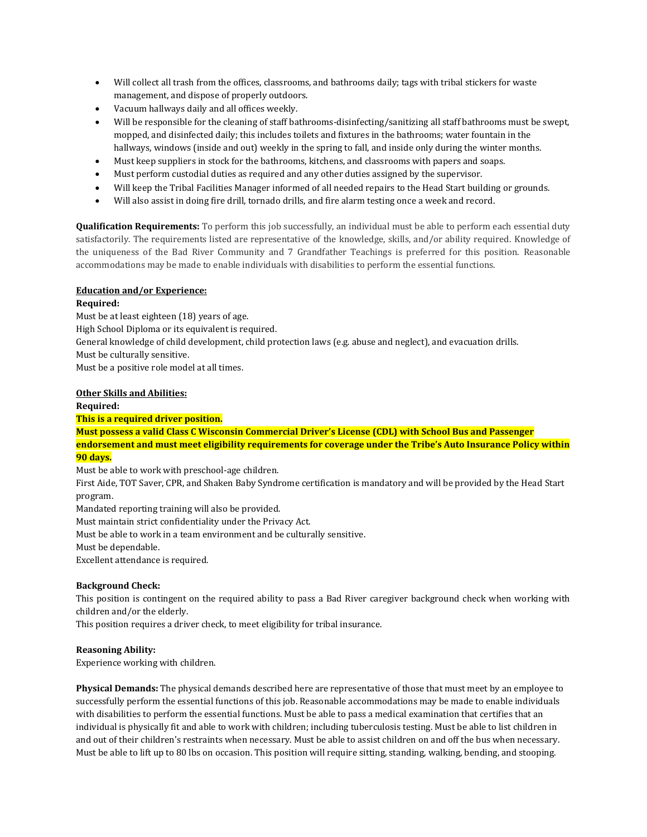- Will collect all trash from the offices, classrooms, and bathrooms daily; tags with tribal stickers for waste management, and dispose of properly outdoors.
- Vacuum hallways daily and all offices weekly.
- Will be responsible for the cleaning of staff bathrooms-disinfecting/sanitizing all staff bathrooms must be swept, mopped, and disinfected daily; this includes toilets and fixtures in the bathrooms; water fountain in the hallways, windows (inside and out) weekly in the spring to fall, and inside only during the winter months.
- Must keep suppliers in stock for the bathrooms, kitchens, and classrooms with papers and soaps.
- Must perform custodial duties as required and any other duties assigned by the supervisor.
- Will keep the Tribal Facilities Manager informed of all needed repairs to the Head Start building or grounds.
- Will also assist in doing fire drill, tornado drills, and fire alarm testing once a week and record.

**Qualification Requirements:** To perform this job successfully, an individual must be able to perform each essential duty satisfactorily. The requirements listed are representative of the knowledge, skills, and/or ability required. Knowledge of the uniqueness of the Bad River Community and 7 Grandfather Teachings is preferred for this position. Reasonable accommodations may be made to enable individuals with disabilities to perform the essential functions.

## **Education and/or Experience:**

## **Required:**

Must be at least eighteen (18) years of age.

High School Diploma or its equivalent is required.

General knowledge of child development, child protection laws (e.g. abuse and neglect), and evacuation drills.

Must be culturally sensitive.

Must be a positive role model at all times.

## **Other Skills and Abilities:**

#### **Required:**

**This is a required driver position.** 

**Must possess a valid Class C Wisconsin Commercial Driver's License (CDL) with School Bus and Passenger endorsement and must meet eligibility requirements for coverage under the Tribe's Auto Insurance Policy within 90 days.**

Must be able to work with preschool-age children.

First Aide, TOT Saver, CPR, and Shaken Baby Syndrome certification is mandatory and will be provided by the Head Start program.

Mandated reporting training will also be provided.

Must maintain strict confidentiality under the Privacy Act.

Must be able to work in a team environment and be culturally sensitive.

Must be dependable.

Excellent attendance is required.

#### **Background Check:**

This position is contingent on the required ability to pass a Bad River caregiver background check when working with children and/or the elderly.

This position requires a driver check, to meet eligibility for tribal insurance.

#### **Reasoning Ability:**

Experience working with children.

**Physical Demands:** The physical demands described here are representative of those that must meet by an employee to successfully perform the essential functions of this job. Reasonable accommodations may be made to enable individuals with disabilities to perform the essential functions. Must be able to pass a medical examination that certifies that an individual is physically fit and able to work with children; including tuberculosis testing. Must be able to list children in and out of their children's restraints when necessary. Must be able to assist children on and off the bus when necessary. Must be able to lift up to 80 lbs on occasion. This position will require sitting, standing, walking, bending, and stooping.